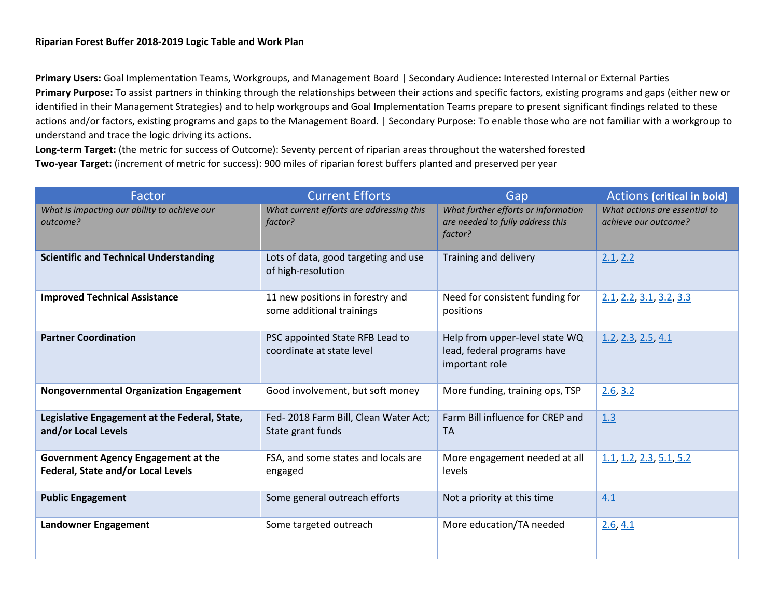**Primary Users:** Goal Implementation Teams, Workgroups, and Management Board | Secondary Audience: Interested Internal or External Parties **Primary Purpose:** To assist partners in thinking through the relationships between their actions and specific factors, existing programs and gaps (either new or identified in their Management Strategies) and to help workgroups and Goal Implementation Teams prepare to present significant findings related to these actions and/or factors, existing programs and gaps to the Management Board. | Secondary Purpose: To enable those who are not familiar with a workgroup to understand and trace the logic driving its actions.

**Long-term Target:** (the metric for success of Outcome): Seventy percent of riparian areas throughout the watershed forested **Two-year Target:** (increment of metric for success): 900 miles of riparian forest buffers planted and preserved per year

| Factor                                                                    | <b>Current Efforts</b>                                        | Gap                                                                                | <b>Actions (critical in bold)</b>                     |
|---------------------------------------------------------------------------|---------------------------------------------------------------|------------------------------------------------------------------------------------|-------------------------------------------------------|
| What is impacting our ability to achieve our<br>outcome?                  | What current efforts are addressing this<br>factor?           | What further efforts or information<br>are needed to fully address this<br>factor? | What actions are essential to<br>achieve our outcome? |
| <b>Scientific and Technical Understanding</b>                             | Lots of data, good targeting and use<br>of high-resolution    | Training and delivery                                                              | 2.1, 2.2                                              |
| <b>Improved Technical Assistance</b>                                      | 11 new positions in forestry and<br>some additional trainings | Need for consistent funding for<br>positions                                       | 2.1, 2.2, 3.1, 3.2, 3.3                               |
| <b>Partner Coordination</b>                                               | PSC appointed State RFB Lead to<br>coordinate at state level  | Help from upper-level state WQ<br>lead, federal programs have<br>important role    | $1.2$ , $2.3$ , $2.5$ , $4.1$                         |
| <b>Nongovernmental Organization Engagement</b>                            | Good involvement, but soft money                              | More funding, training ops, TSP                                                    | 2.6, 3.2                                              |
| Legislative Engagement at the Federal, State,<br>and/or Local Levels      | Fed-2018 Farm Bill, Clean Water Act;<br>State grant funds     | Farm Bill influence for CREP and<br><b>TA</b>                                      | 1.3                                                   |
| Government Agency Engagement at the<br>Federal, State and/or Local Levels | FSA, and some states and locals are<br>engaged                | More engagement needed at all<br>levels                                            | 1.1, 1.2, 2.3, 5.1, 5.2                               |
| <b>Public Engagement</b>                                                  | Some general outreach efforts                                 | Not a priority at this time                                                        | 4.1                                                   |
| Landowner Engagement                                                      | Some targeted outreach                                        | More education/TA needed                                                           | 2.6, 4.1                                              |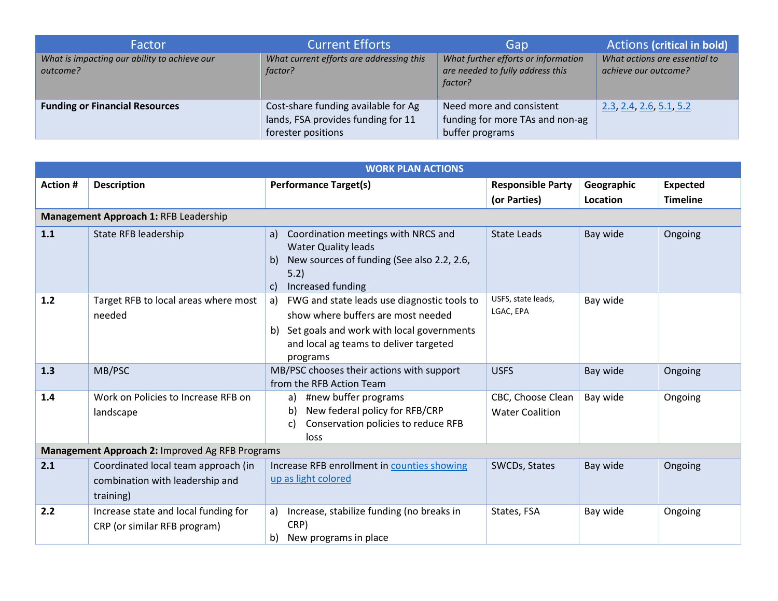| Factor                                                   | <b>Current Efforts</b>                                                                          | Gap                                                                                | <b>Actions (critical in bold)</b>                     |
|----------------------------------------------------------|-------------------------------------------------------------------------------------------------|------------------------------------------------------------------------------------|-------------------------------------------------------|
| What is impacting our ability to achieve our<br>outcome? | What current efforts are addressing this<br>factor?                                             | What further efforts or information<br>are needed to fully address this<br>factor? | What actions are essential to<br>achieve our outcome? |
| <b>Funding or Financial Resources</b>                    | Cost-share funding available for Ag<br>lands, FSA provides funding for 11<br>forester positions | Need more and consistent<br>funding for more TAs and non-ag<br>buffer programs     | 2.3, 2.4, 2.6, 5.1, 5.2                               |

<span id="page-1-4"></span><span id="page-1-3"></span><span id="page-1-2"></span><span id="page-1-1"></span><span id="page-1-0"></span>

| <b>WORK PLAN ACTIONS</b>                        |                                                                                     |                                                                                                                                                                                               |                                             |            |                 |  |
|-------------------------------------------------|-------------------------------------------------------------------------------------|-----------------------------------------------------------------------------------------------------------------------------------------------------------------------------------------------|---------------------------------------------|------------|-----------------|--|
| <b>Action #</b>                                 | <b>Description</b>                                                                  | <b>Performance Target(s)</b>                                                                                                                                                                  | <b>Responsible Party</b>                    | Geographic | <b>Expected</b> |  |
|                                                 |                                                                                     |                                                                                                                                                                                               | (or Parties)                                | Location   | <b>Timeline</b> |  |
|                                                 | Management Approach 1: RFB Leadership                                               |                                                                                                                                                                                               |                                             |            |                 |  |
| 1.1                                             | State RFB leadership                                                                | Coordination meetings with NRCS and<br>a)<br><b>Water Quality leads</b><br>New sources of funding (See also 2.2, 2.6,<br>$\mathsf{b}$<br>5.2)<br>Increased funding<br>$\mathsf{C}$            | <b>State Leads</b>                          | Bay wide   | Ongoing         |  |
| 1.2                                             | Target RFB to local areas where most<br>needed                                      | FWG and state leads use diagnostic tools to<br>a)<br>show where buffers are most needed<br>b) Set goals and work with local governments<br>and local ag teams to deliver targeted<br>programs | USFS, state leads,<br>LGAC, EPA             | Bay wide   |                 |  |
| 1.3                                             | MB/PSC                                                                              | MB/PSC chooses their actions with support<br>from the RFB Action Team                                                                                                                         | <b>USFS</b>                                 | Bay wide   | Ongoing         |  |
| 1.4                                             | Work on Policies to Increase RFB on<br>landscape                                    | #new buffer programs<br>a)<br>New federal policy for RFB/CRP<br>b)<br>Conservation policies to reduce RFB<br>C)<br>loss                                                                       | CBC, Choose Clean<br><b>Water Coalition</b> | Bay wide   | Ongoing         |  |
| Management Approach 2: Improved Ag RFB Programs |                                                                                     |                                                                                                                                                                                               |                                             |            |                 |  |
| 2.1                                             | Coordinated local team approach (in<br>combination with leadership and<br>training) | Increase RFB enrollment in counties showing<br>up as light colored                                                                                                                            | SWCDs, States                               | Bay wide   | Ongoing         |  |
| 2.2                                             | Increase state and local funding for<br>CRP (or similar RFB program)                | Increase, stabilize funding (no breaks in<br>a)<br>CRP)<br>New programs in place<br>b)                                                                                                        | States, FSA                                 | Bay wide   | Ongoing         |  |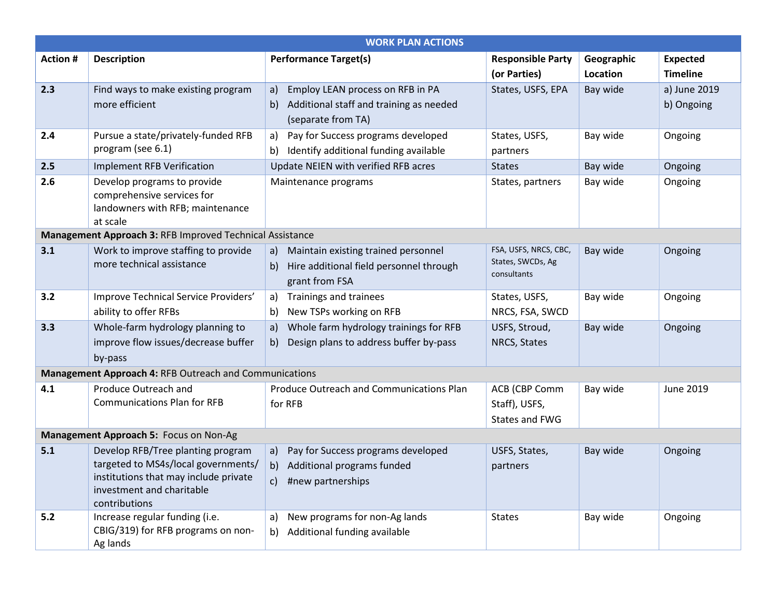<span id="page-2-9"></span><span id="page-2-8"></span><span id="page-2-7"></span><span id="page-2-6"></span><span id="page-2-5"></span><span id="page-2-4"></span><span id="page-2-3"></span><span id="page-2-2"></span><span id="page-2-1"></span><span id="page-2-0"></span>

| <b>WORK PLAN ACTIONS</b>               |                                                                                                                                                                 |                                                                                                               |                                                           |                        |                                    |
|----------------------------------------|-----------------------------------------------------------------------------------------------------------------------------------------------------------------|---------------------------------------------------------------------------------------------------------------|-----------------------------------------------------------|------------------------|------------------------------------|
| <b>Action #</b>                        | <b>Description</b>                                                                                                                                              | <b>Performance Target(s)</b>                                                                                  | <b>Responsible Party</b><br>(or Parties)                  | Geographic<br>Location | <b>Expected</b><br><b>Timeline</b> |
| 2.3                                    | Find ways to make existing program<br>more efficient                                                                                                            | Employ LEAN process on RFB in PA<br>a)<br>Additional staff and training as needed<br>b)<br>(separate from TA) | States, USFS, EPA                                         | Bay wide               | a) June 2019<br>b) Ongoing         |
| 2.4                                    | Pursue a state/privately-funded RFB<br>program (see 6.1)                                                                                                        | Pay for Success programs developed<br>a)<br>Identify additional funding available<br>b)                       | States, USFS,<br>partners                                 | Bay wide               | Ongoing                            |
| 2.5                                    | <b>Implement RFB Verification</b>                                                                                                                               | Update NEIEN with verified RFB acres                                                                          | <b>States</b>                                             | Bay wide               | Ongoing                            |
| 2.6                                    | Develop programs to provide<br>comprehensive services for<br>landowners with RFB; maintenance<br>at scale                                                       | Maintenance programs                                                                                          | States, partners                                          | Bay wide               | Ongoing                            |
|                                        | Management Approach 3: RFB Improved Technical Assistance                                                                                                        |                                                                                                               |                                                           |                        |                                    |
| 3.1                                    | Work to improve staffing to provide<br>more technical assistance                                                                                                | Maintain existing trained personnel<br>a)<br>Hire additional field personnel through<br>b)<br>grant from FSA  | FSA, USFS, NRCS, CBC,<br>States, SWCDs, Ag<br>consultants | Bay wide               | Ongoing                            |
| 3.2                                    | Improve Technical Service Providers'<br>ability to offer RFBs                                                                                                   | Trainings and trainees<br>a)<br>New TSPs working on RFB<br>b)                                                 | States, USFS,<br>NRCS, FSA, SWCD                          | Bay wide               | Ongoing                            |
| 3.3                                    | Whole-farm hydrology planning to<br>improve flow issues/decrease buffer<br>by-pass                                                                              | Whole farm hydrology trainings for RFB<br>a)<br>Design plans to address buffer by-pass<br>b)                  | USFS, Stroud,<br>NRCS, States                             | Bay wide               | Ongoing                            |
|                                        | Management Approach 4: RFB Outreach and Communications                                                                                                          |                                                                                                               |                                                           |                        |                                    |
| 4.1                                    | Produce Outreach and<br><b>Communications Plan for RFB</b>                                                                                                      | Produce Outreach and Communications Plan<br>for RFB                                                           | ACB (CBP Comm<br>Staff), USFS,<br>States and FWG          | Bay wide               | June 2019                          |
| Management Approach 5: Focus on Non-Ag |                                                                                                                                                                 |                                                                                                               |                                                           |                        |                                    |
| 5.1                                    | Develop RFB/Tree planting program<br>targeted to MS4s/local governments/<br>institutions that may include private<br>investment and charitable<br>contributions | Pay for Success programs developed<br>a)<br>Additional programs funded<br>b)<br>#new partnerships<br>C)       | USFS, States,<br>partners                                 | Bay wide               | Ongoing                            |
| 5.2                                    | Increase regular funding (i.e.<br>CBIG/319) for RFB programs on non-<br>Ag lands                                                                                | New programs for non-Ag lands<br>a)<br>Additional funding available<br>b)                                     | <b>States</b>                                             | Bay wide               | Ongoing                            |